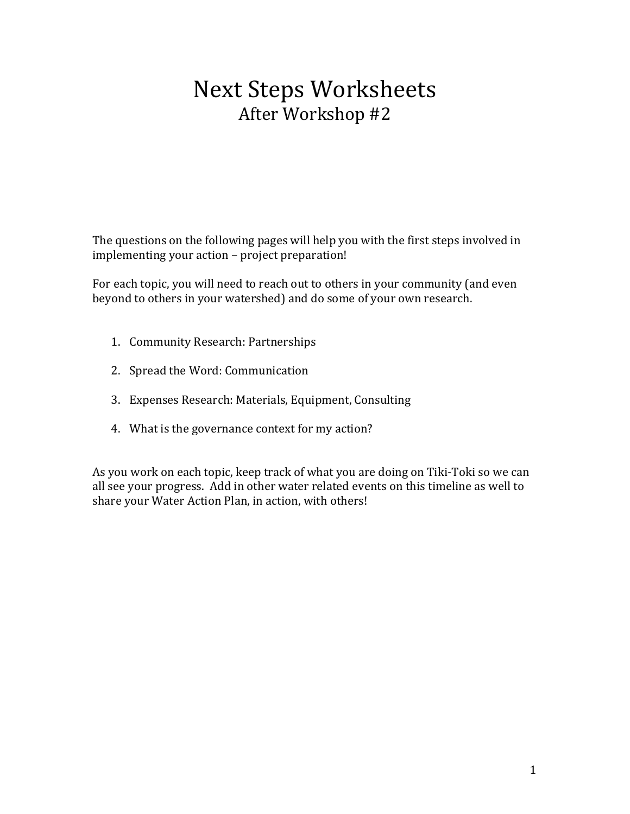# **Next Steps Worksheets** After Workshop #2

The questions on the following pages will help you with the first steps involved in implementing your action – project preparation!

For each topic, you will need to reach out to others in your community (and even beyond to others in your watershed) and do some of your own research.

- 1. Community Research: Partnerships
- 2. Spread the Word: Communication
- 3. Expenses Research: Materials, Equipment, Consulting
- 4. What is the governance context for my action?

As you work on each topic, keep track of what you are doing on Tiki-Toki so we can all see your progress. Add in other water related events on this timeline as well to share your Water Action Plan, in action, with others!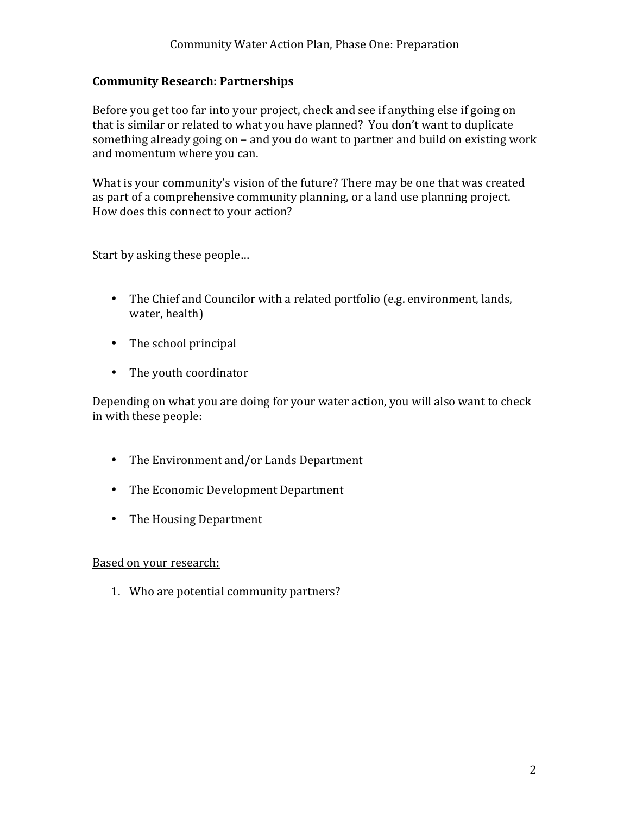# **Community Research: Partnerships**

Before you get too far into your project, check and see if anything else if going on that is similar or related to what you have planned? You don't want to duplicate something already going on – and you do want to partner and build on existing work and momentum where you can.

What is your community's vision of the future? There may be one that was created as part of a comprehensive community planning, or a land use planning project. How does this connect to your action?

Start by asking these people...

- The Chief and Councilor with a related portfolio (e.g. environment, lands, water, health)
- The school principal
- The youth coordinator

Depending on what you are doing for your water action, you will also want to check in with these people:

- The Environment and/or Lands Department
- The Economic Development Department
- The Housing Department

#### Based on your research:

1. Who are potential community partners?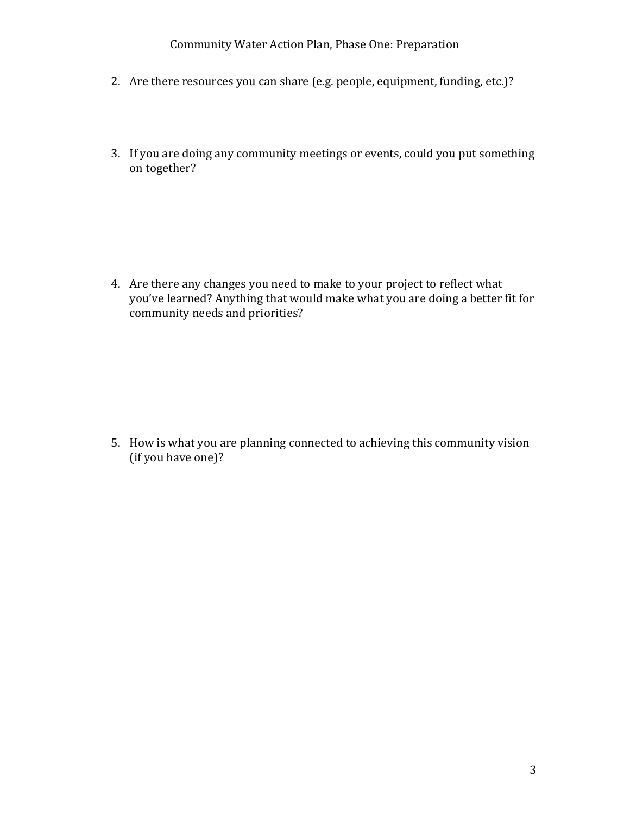#### Community Water Action Plan, Phase One: Preparation

- 2. Are there resources you can share (e.g. people, equipment, funding, etc.)?
- 3. If you are doing any community meetings or events, could you put something on together?

4. Are there any changes you need to make to your project to reflect what you've learned? Anything that would make what you are doing a better fit for community needs and priorities?

5. How is what you are planning connected to achieving this community vision (if you have one)?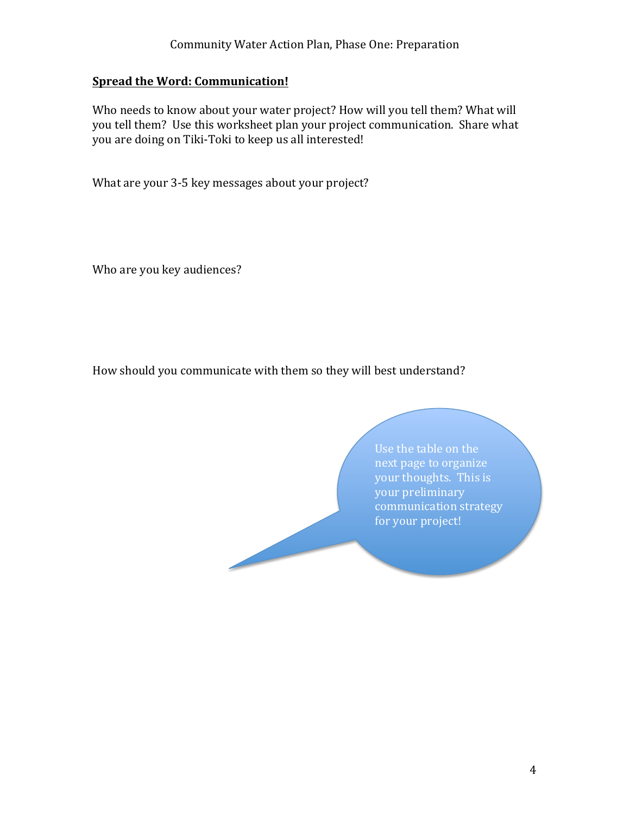# **Spread the Word: Communication!**

Who needs to know about your water project? How will you tell them? What will you tell them? Use this worksheet plan your project communication. Share what you are doing on Tiki-Toki to keep us all interested!

What are your 3-5 key messages about your project?

Who are you key audiences?

How should you communicate with them so they will best understand?

Use the table on the next page to organize your thoughts. This is your preliminary communication strategy for your project!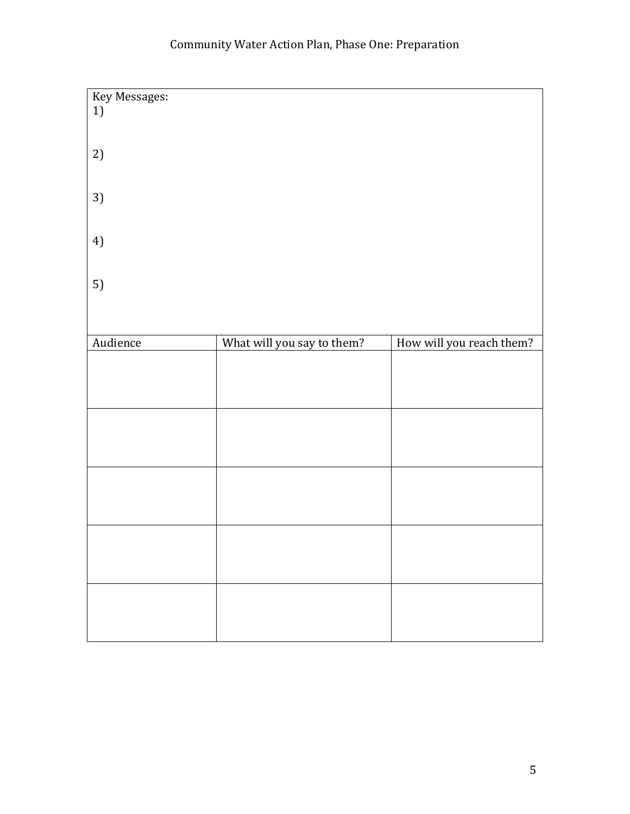# Community Water Action Plan, Phase One: Preparation

| Key Messages:<br>1) |                            |                          |
|---------------------|----------------------------|--------------------------|
| 2)                  |                            |                          |
| 3)                  |                            |                          |
| 4)                  |                            |                          |
| 5)                  |                            |                          |
|                     |                            |                          |
| Audience            | What will you say to them? | How will you reach them? |
|                     |                            |                          |
|                     |                            |                          |
|                     |                            |                          |
|                     |                            |                          |
|                     |                            |                          |
|                     |                            |                          |
|                     |                            |                          |
|                     |                            |                          |
|                     |                            |                          |